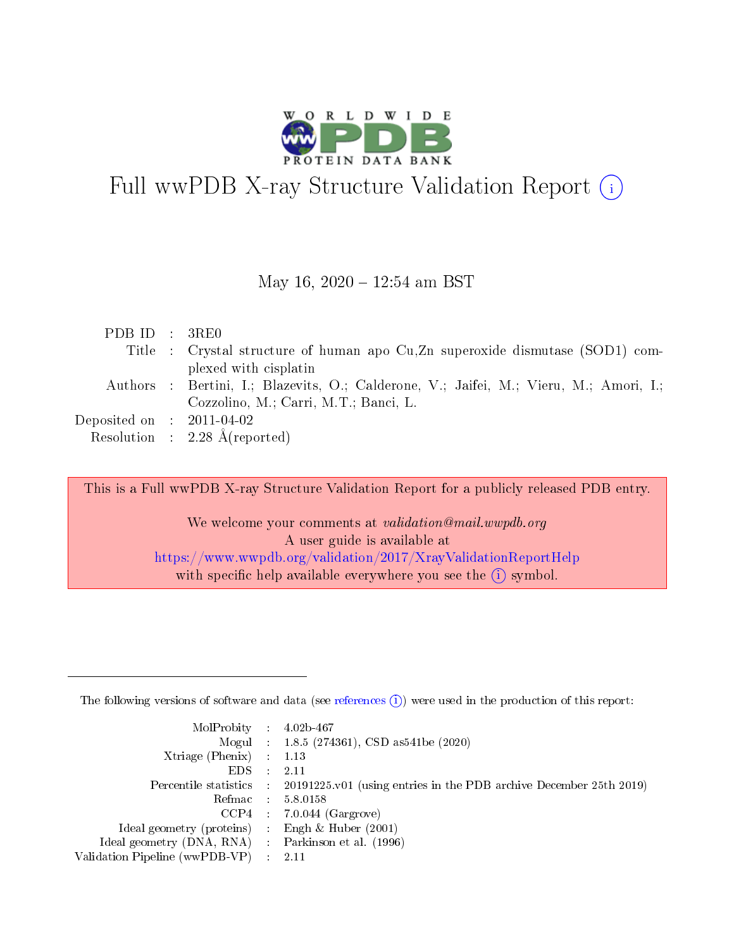

# Full wwPDB X-ray Structure Validation Report (i)

#### May 16,  $2020 - 12:54$  am BST

| PDB ID : 3RE0                        |                                                                                        |
|--------------------------------------|----------------------------------------------------------------------------------------|
|                                      | Title : Crystal structure of human apo Cu, Zn superoxide dismutase (SOD1) com-         |
|                                      | plexed with cisplatin                                                                  |
|                                      | Authors : Bertini, I.; Blazevits, O.; Calderone, V.; Jaifei, M.; Vieru, M.; Amori, I.; |
|                                      | Cozzolino, M.; Carri, M.T.; Banci, L.                                                  |
| Deposited on $\therefore$ 2011-04-02 |                                                                                        |
|                                      | Resolution : $2.28 \text{ Å}$ (reported)                                               |

This is a Full wwPDB X-ray Structure Validation Report for a publicly released PDB entry.

We welcome your comments at validation@mail.wwpdb.org A user guide is available at <https://www.wwpdb.org/validation/2017/XrayValidationReportHelp> with specific help available everywhere you see the  $(i)$  symbol.

The following versions of software and data (see [references](https://www.wwpdb.org/validation/2017/XrayValidationReportHelp#references)  $(1)$ ) were used in the production of this report:

| $MolProbability$ : 4.02b-467                        |                                                                                            |
|-----------------------------------------------------|--------------------------------------------------------------------------------------------|
|                                                     | Mogul : 1.8.5 (274361), CSD as 541be (2020)                                                |
| Xtriage (Phenix) $: 1.13$                           |                                                                                            |
| EDS :                                               | -2.11                                                                                      |
|                                                     | Percentile statistics : 20191225.v01 (using entries in the PDB archive December 25th 2019) |
| Refmac 58.0158                                      |                                                                                            |
|                                                     | $CCP4$ 7.0.044 (Gargrove)                                                                  |
| Ideal geometry (proteins) : Engh $\&$ Huber (2001)  |                                                                                            |
| Ideal geometry (DNA, RNA) : Parkinson et al. (1996) |                                                                                            |
| Validation Pipeline (wwPDB-VP) : 2.11               |                                                                                            |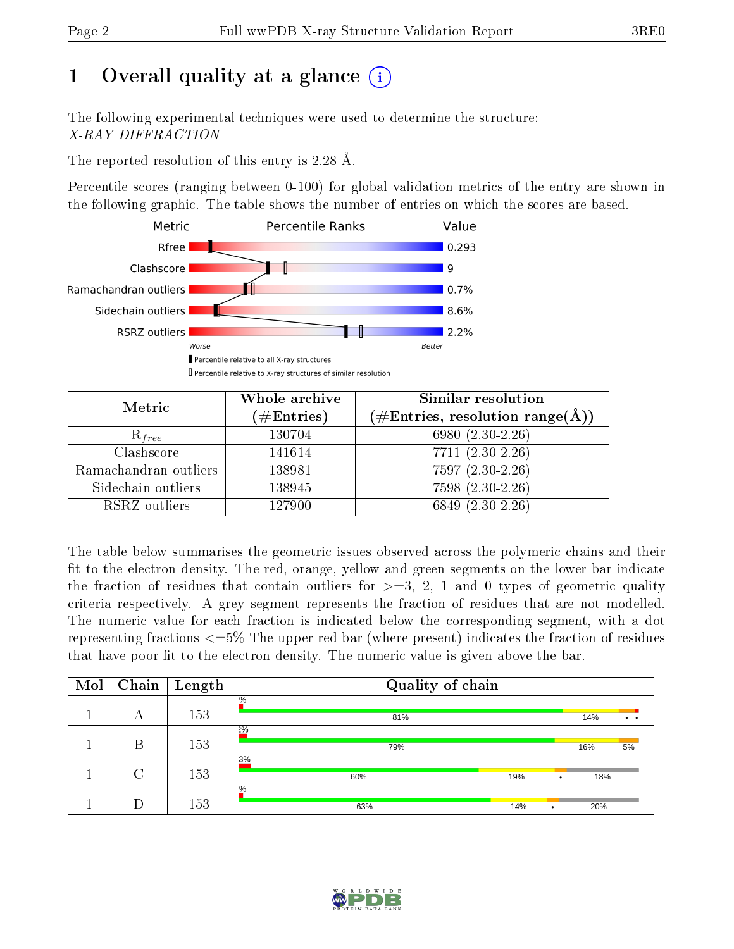# 1 [O](https://www.wwpdb.org/validation/2017/XrayValidationReportHelp#overall_quality)verall quality at a glance  $(i)$

The following experimental techniques were used to determine the structure: X-RAY DIFFRACTION

The reported resolution of this entry is 2.28 Å.

Percentile scores (ranging between 0-100) for global validation metrics of the entry are shown in the following graphic. The table shows the number of entries on which the scores are based.



| Metric                | Whole archive          | Similar resolution                                                     |  |  |
|-----------------------|------------------------|------------------------------------------------------------------------|--|--|
|                       | $(\#\mathrm{Entries})$ | $(\#\text{Entries},\,\text{resolution}\,\,\text{range}(\textup{\AA}))$ |  |  |
| $R_{free}$            | 130704                 | 6980 (2.30-2.26)                                                       |  |  |
| Clashscore            | 141614                 | $7711 (2.30 - 2.26)$                                                   |  |  |
| Ramachandran outliers | 138981                 | $7597(2.30-2.26)$                                                      |  |  |
| Sidechain outliers    | 138945                 | 7598 (2.30-2.26)                                                       |  |  |
| RSRZ outliers         | 127900                 | $6849(2.30-2.26)$                                                      |  |  |

The table below summarises the geometric issues observed across the polymeric chains and their fit to the electron density. The red, orange, yellow and green segments on the lower bar indicate the fraction of residues that contain outliers for  $>=3, 2, 1$  and 0 types of geometric quality criteria respectively. A grey segment represents the fraction of residues that are not modelled. The numeric value for each fraction is indicated below the corresponding segment, with a dot representing fractions <=5% The upper red bar (where present) indicates the fraction of residues that have poor fit to the electron density. The numeric value is given above the bar.

| Mol | Chain  | Length | Quality of chain        |     |                      |
|-----|--------|--------|-------------------------|-----|----------------------|
|     | А      | 153    | $\%$<br>81%             | 14% | $\ddot{\phantom{a}}$ |
|     | В      | 153    | 2%<br>79%               | 16% | 5%                   |
|     | $\cap$ | 153    | 3%<br>60%<br>19%        | 18% |                      |
|     |        | 153    | $\%$<br>63%<br>14%<br>٠ | 20% |                      |

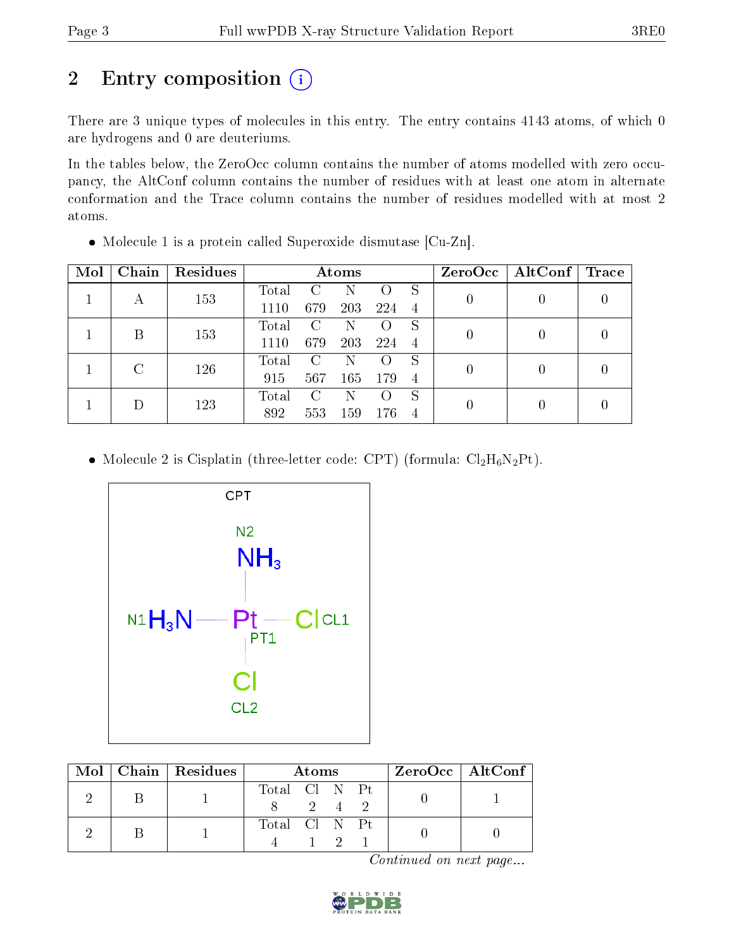# 2 Entry composition (i)

There are 3 unique types of molecules in this entry. The entry contains 4143 atoms, of which 0 are hydrogens and 0 are deuteriums.

In the tables below, the ZeroOcc column contains the number of atoms modelled with zero occupancy, the AltConf column contains the number of residues with at least one atom in alternate conformation and the Trace column contains the number of residues modelled with at most 2 atoms.

| Mol | Chain | Residues |                             |            | Atoms |                |                | $ZeroOcc \   \$ AltConf | $\operatorname{Trace}$ |
|-----|-------|----------|-----------------------------|------------|-------|----------------|----------------|-------------------------|------------------------|
|     |       | 153      | Total                       |            |       |                | S              |                         |                        |
| А   |       | 1110     | 679                         | <b>203</b> | 224   | 4              |                |                         |                        |
|     | В     | 153      | Total                       |            |       | S              |                |                         |                        |
|     |       |          | 1110                        | 679        | 203   | 224            | $\overline{4}$ |                         |                        |
|     |       | 126      | Total                       | C          | N     |                | S              |                         |                        |
|     |       |          | 915                         | 567        | 165   | 179            | $\overline{4}$ |                         |                        |
|     | 123   | Total    | $\mathcal{C}_{\mathcal{C}}$ | N          |       | S              |                |                         |                        |
|     |       | 892      | 553                         | 159        | 176   | $\overline{4}$ |                |                         |                        |

Molecule 1 is a protein called Superoxide dismutase [Cu-Zn].

• Molecule 2 is Cisplatin (three-letter code: CPT) (formula:  $Cl_2H_6N_2Pt$ ).



|  | $\text{Mol}$   Chain   Residues | Atoms         |             |  |  | ZeroOcc   AltConf |
|--|---------------------------------|---------------|-------------|--|--|-------------------|
|  |                                 | Total Cl N Pt | $2^{\circ}$ |  |  |                   |
|  |                                 | Total Cl N Pt |             |  |  |                   |

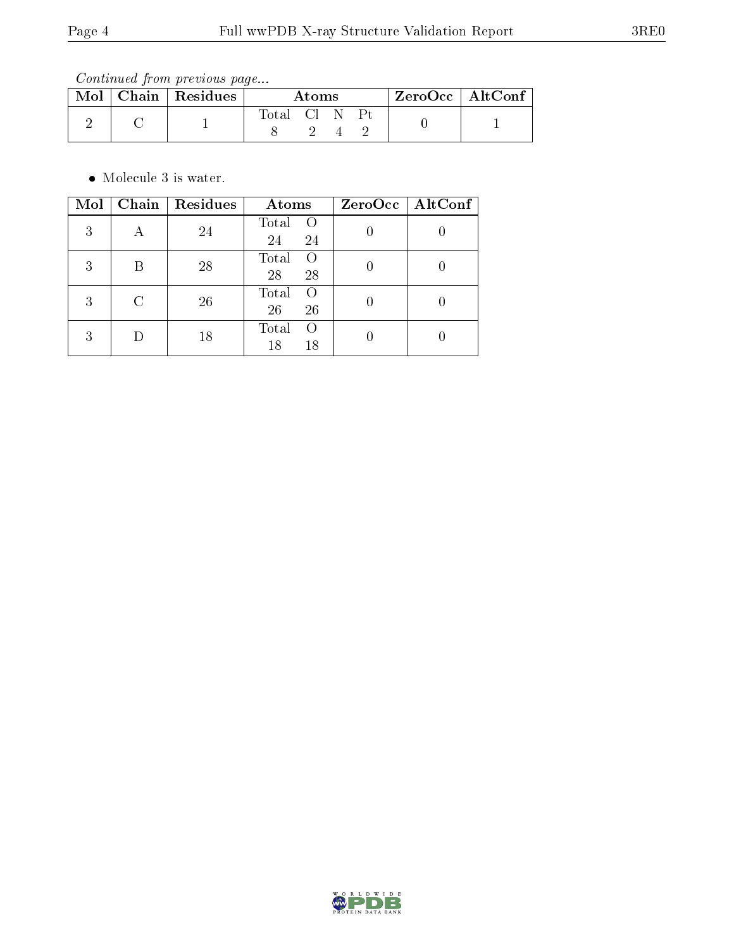Continued from previous page...

|  | Mol   Chain   Residues | Atoms      |  |  |  |  | $ZeroOcc \mid AltConf \mid$ |
|--|------------------------|------------|--|--|--|--|-----------------------------|
|  |                        | Total Cl N |  |  |  |  |                             |
|  |                        |            |  |  |  |  |                             |

• Molecule 3 is water.

| Mol |   | Chain   Residues | Atoms                                 | ZeroOcc   AltConf |
|-----|---|------------------|---------------------------------------|-------------------|
| 3   |   | 24               | Total<br>- ()<br>24<br>24             |                   |
| 3   | В | 28               | Total<br>$\left($<br>28<br>28         |                   |
| 3   | C | 26               | Total<br>$\left( \right)$<br>26<br>26 |                   |
| 3   |   | 18               | Total<br>$\Omega$<br>18<br>18         |                   |

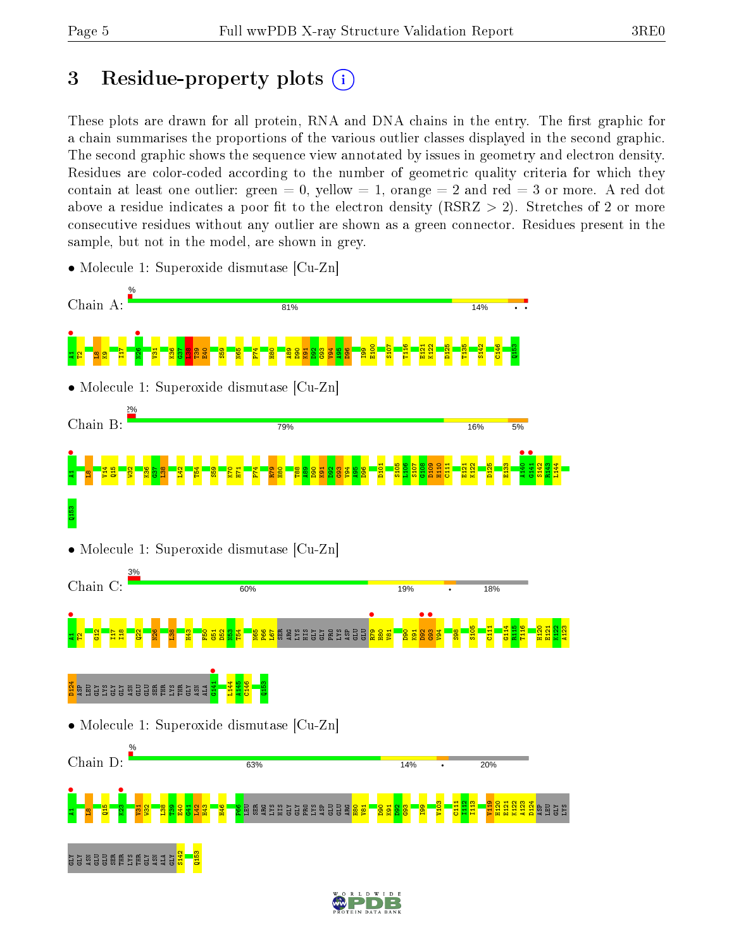# 3 Residue-property plots  $(i)$

These plots are drawn for all protein, RNA and DNA chains in the entry. The first graphic for a chain summarises the proportions of the various outlier classes displayed in the second graphic. The second graphic shows the sequence view annotated by issues in geometry and electron density. Residues are color-coded according to the number of geometric quality criteria for which they contain at least one outlier: green  $= 0$ , yellow  $= 1$ , orange  $= 2$  and red  $= 3$  or more. A red dot above a residue indicates a poor fit to the electron density (RSRZ  $> 2$ ). Stretches of 2 or more consecutive residues without any outlier are shown as a green connector. Residues present in the sample, but not in the model, are shown in grey.



• Molecule 1: Superoxide dismutase [Cu-Zn]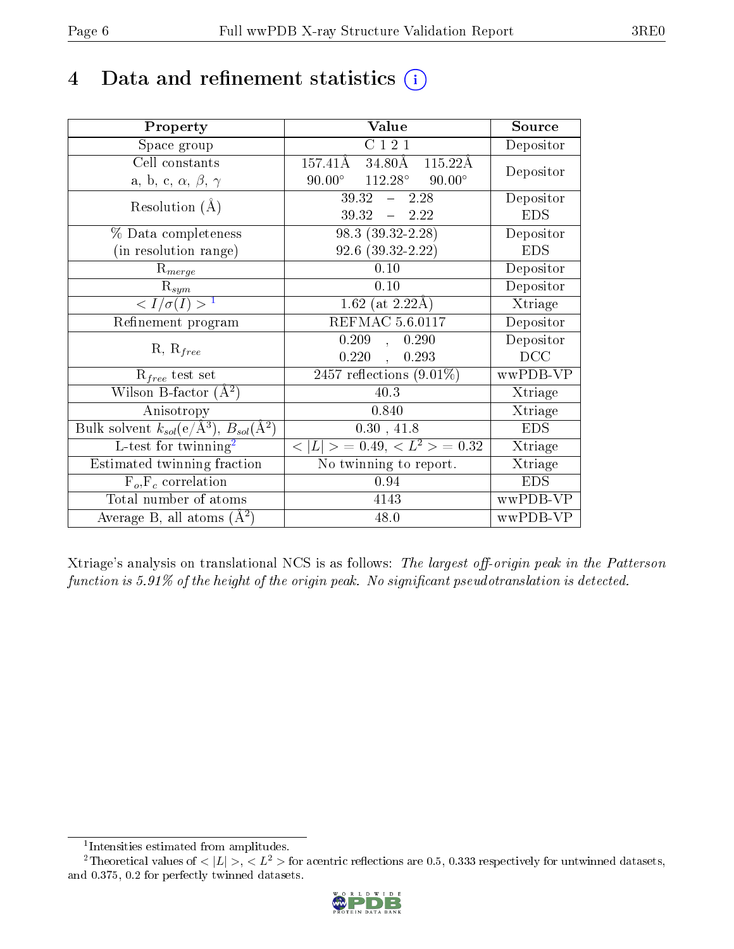# 4 Data and refinement statistics  $(i)$

| Property                                                                                        | Value                                                       | Source                       |
|-------------------------------------------------------------------------------------------------|-------------------------------------------------------------|------------------------------|
| Space group                                                                                     | C121                                                        | Depositor                    |
| Cell constants                                                                                  | $157.41\overline{\text{A}}$<br>$34.80\text{\AA}$<br>115.22Å | Depositor                    |
| a, b, c, $\alpha$ , $\beta$ , $\gamma$                                                          | $112.28^\circ$<br>$90.00^{\circ}$<br>$90.00^\circ$          |                              |
| Resolution $(A)$                                                                                | $39.32 - 2.28$                                              | Depositor                    |
|                                                                                                 | $39.32 - 2.22$                                              | <b>EDS</b>                   |
| % Data completeness                                                                             | $98.3(39.32-2.28)$                                          | Depositor                    |
| (in resolution range)                                                                           | $92.6$ $(39.32 - 2.22)$                                     | <b>EDS</b>                   |
| $R_{merge}$                                                                                     | 0.10                                                        | Depositor                    |
| $\mathrm{R}_{sym}$                                                                              | 0.10                                                        | Depositor                    |
| $\sqrt{I/\sigma(I)} > 1$                                                                        | 1.62 (at $2.22\text{\AA}$ )                                 | Xtriage                      |
| Refinement program                                                                              | <b>REFMAC 5.6.0117</b>                                      | Depositor                    |
|                                                                                                 | 0.209<br>0.290<br>$\mathcal{L}$                             | Depositor                    |
| $R, R_{free}$                                                                                   | 0.220<br>0.293<br>$\mathcal{L}_{\mathcal{A}}$               | DCC                          |
| $R_{free}$ test set                                                                             | 2457 reflections $(9.01\%)$                                 | wwPDB-VP                     |
| Wilson B-factor $(A^2)$                                                                         | 40.3                                                        | Xtriage                      |
| Anisotropy                                                                                      | 0.840                                                       | Xtriage                      |
| $\overline{\mathrm{Bulk}}$ solvent $k_{sol}(\mathrm{e}/\mathrm{A}^3)$ , $B_{sol}(\mathrm{A}^2)$ | 0.30, 41.8                                                  | <b>EDS</b>                   |
| $L$ -test for twinning <sup>2</sup>                                                             | $< L >$ = 0.49, $< L2$ = 0.32                               | Xtriage                      |
| Estimated twinning fraction                                                                     | No twinning to report.                                      | $\overline{\text{X}}$ triage |
| $\overline{F_o, F_c}$ correlation                                                               | 0.94                                                        | <b>EDS</b>                   |
| Total number of atoms                                                                           | 4143                                                        | wwPDB-VP                     |
| Average B, all atoms $(A^2)$                                                                    | 48.0                                                        | wwPDB-VP                     |

Xtriage's analysis on translational NCS is as follows: The largest off-origin peak in the Patterson function is  $5.91\%$  of the height of the origin peak. No significant pseudotranslation is detected.

<sup>&</sup>lt;sup>2</sup>Theoretical values of  $\langle |L| \rangle$ ,  $\langle L^2 \rangle$  for acentric reflections are 0.5, 0.333 respectively for untwinned datasets, and 0.375, 0.2 for perfectly twinned datasets.



<span id="page-5-1"></span><span id="page-5-0"></span><sup>1</sup> Intensities estimated from amplitudes.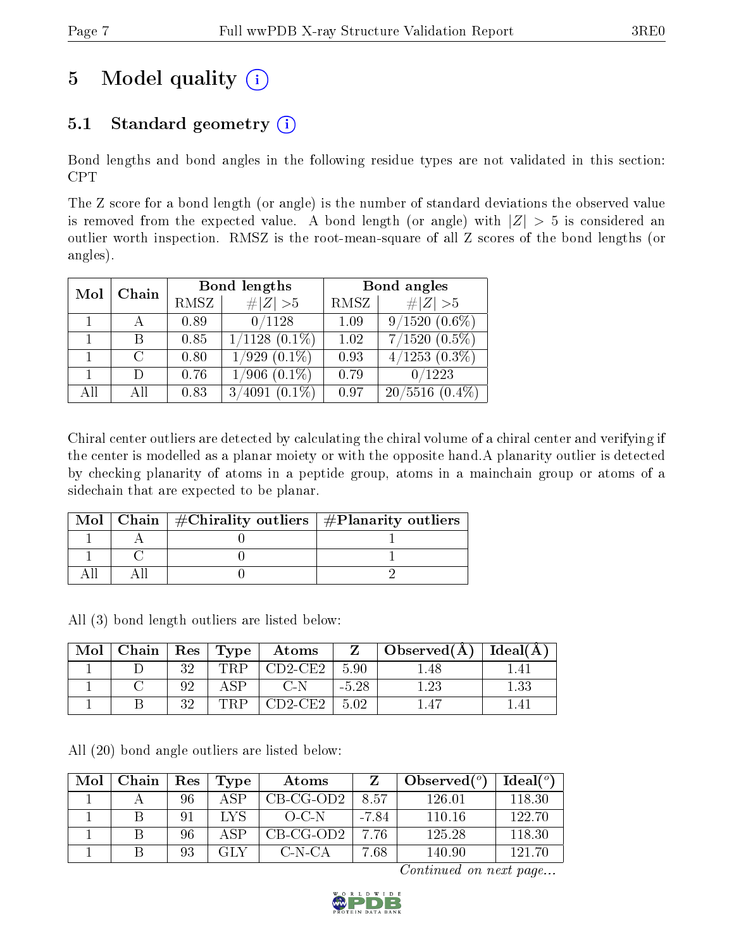# 5 Model quality  $(i)$

# 5.1 Standard geometry  $(i)$

Bond lengths and bond angles in the following residue types are not validated in this section: CPT

The Z score for a bond length (or angle) is the number of standard deviations the observed value is removed from the expected value. A bond length (or angle) with  $|Z| > 5$  is considered an outlier worth inspection. RMSZ is the root-mean-square of all Z scores of the bond lengths (or angles).

| Mol | Chain  |      | Bond lengths        | Bond angles |                          |  |
|-----|--------|------|---------------------|-------------|--------------------------|--|
|     |        | RMSZ | $\# Z  > 5$         | RMSZ        | $\# Z  > 5$              |  |
|     |        | 0.89 | 0/1128              | 1.09        | $9/1520(0.6\%)$          |  |
|     |        | 0.85 | $1/1128$ $(0.1\%)$  | 1.02        | $7/1520(0.5\%)$          |  |
|     | $\cap$ | 0.80 | $1/929(0.1\%)$      | 0.93        | $4/1253$ $(0.3\sqrt{8})$ |  |
|     | $\Box$ | 0.76 | $1/906$ $(0.1\%)$   | 0.79        | 0/1223                   |  |
| All | ΑĦ     | 0.83 | $(0.1\%)$<br>3/4091 | 0.97        | $20/5516$ $(0.4\%)$      |  |

Chiral center outliers are detected by calculating the chiral volume of a chiral center and verifying if the center is modelled as a planar moiety or with the opposite hand.A planarity outlier is detected by checking planarity of atoms in a peptide group, atoms in a mainchain group or atoms of a sidechain that are expected to be planar.

|  | Mol   Chain   $\#\text{Chirality outliers}$   $\#\text{Planarity outliers}$ |  |
|--|-----------------------------------------------------------------------------|--|
|  |                                                                             |  |
|  |                                                                             |  |
|  |                                                                             |  |

All (3) bond length outliers are listed below:

| Mol | Chain |     | $\vert$ Res $\vert$ Type | Atoms                                       |         | $\Box$ Observed(A) | Ideal(A) |
|-----|-------|-----|--------------------------|---------------------------------------------|---------|--------------------|----------|
|     |       | ว ว |                          | $\mathbb{C}\mathrm{D}2\text{-}\mathrm{CE}2$ | 5.90    |                    |          |
|     |       |     |                          |                                             | $-5.28$ |                    | $1.33\,$ |
|     |       | 20  |                          | $CD2$ -CE2.                                 | 5.02    |                    | 4        |

All (20) bond angle outliers are listed below:

| Mol | Chain | Res | Type | Atoms       |         | Observed $(°)$ | Ideal $(°)$ |
|-----|-------|-----|------|-------------|---------|----------------|-------------|
|     |       | 96  | A SP | $CB-CG-OD2$ | 8.57    | 126.01         | 118.30      |
|     |       | 91  | LYS. | $O-C-N$     | $-7.84$ | 110.16         | 122.70      |
|     |       | 96  | A SP | $CB-CG-OD2$ | 7.76    | 125.28         | 118.30      |
|     |       | 93  | GLY  | C-N-CA      | 7.68    | 140.90         | 121.70      |

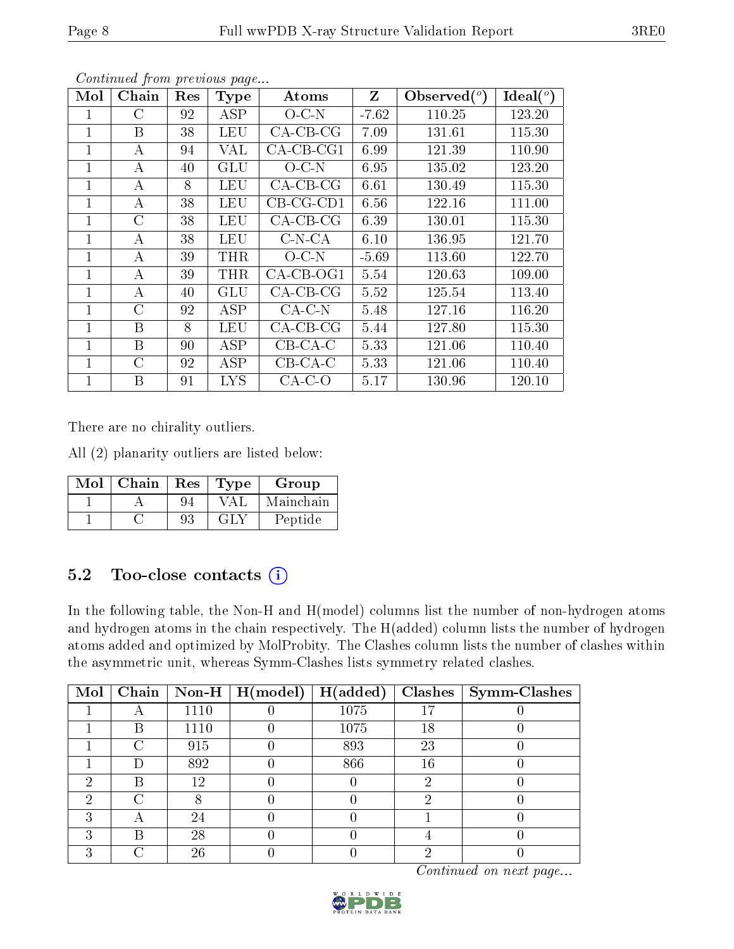| Mol          | ${\rm Chain}$ | Res | <b>Type</b> | Atoms        | Z       | $\text{Observed}(^{\text{o}})$ | $Ideal(^o)$ |
|--------------|---------------|-----|-------------|--------------|---------|--------------------------------|-------------|
|              | C             | 92  | ASP         | $O-C-N$      | $-7.62$ | 110.25                         | 123.20      |
| 1            | B             | 38  | <b>LEU</b>  | $CA-CB-CG$   | 7.09    | 131.61                         | 115.30      |
| 1            | A             | 94  | VAL         | $CA$ -CB-CG1 | 6.99    | 121.39                         | 110.90      |
| 1            | А             | 40  | <b>GLU</b>  | O C N        | 6.95    | 135.02                         | 123.20      |
| 1            | A             | 8   | LEU         | $CA-CB-CG$   | 6.61    | 130.49                         | 115.30      |
| 1            | А             | 38  | <b>LEU</b>  | $CB-CG-CD1$  | 6.56    | 122.16                         | 111.00      |
| 1            | C             | 38  | <b>LEU</b>  | $CA-CB-CG$   | 6.39    | 130.01                         | 115.30      |
| 1            | A             | 38  | <b>LEU</b>  | $C-N-CA$     | 6.10    | 136.95                         | 121.70      |
| $\mathbf{1}$ | A             | 39  | <b>THR</b>  | $O-C N$      | $-5.69$ | 113.60                         | 122.70      |
| 1            | А             | 39  | THR         | $CA-CB-OG1$  | 5.54    | 120.63                         | 109.00      |
| 1            | А             | 40  | GLU         | $CA-CB-CG$   | 5.52    | 125.54                         | 113.40      |
| $\mathbf{1}$ | $\rm C$       | 92  | ASP         | $CA-C-N$     | 5.48    | 127.16                         | 116.20      |
| 1            | B             | 8   | <b>LEU</b>  | $CA-CB-CG$   | 5.44    | 127.80                         | 115.30      |
| $\mathbf{1}$ | B             | 90  | <b>ASP</b>  | $CB-CA-C$    | 5.33    | 121.06                         | 110.40      |
| 1            | $\rm C$       | 92  | ASP         | $CB-CA-C$    | 5.33    | 121.06                         | 110.40      |
| 1            | B             | 91  | <b>LYS</b>  | $CA-C-O$     | 5.17    | 130.96                         | 120.10      |

Continued from previous page...

There are no chirality outliers.

All (2) planarity outliers are listed below:

| Mol | Chain | Res | Type      | Group     |
|-----|-------|-----|-----------|-----------|
|     |       |     | VAL.      | Mainchain |
|     |       | da  | ( . I . ) | Peptide   |

## 5.2 Too-close contacts (i)

In the following table, the Non-H and H(model) columns list the number of non-hydrogen atoms and hydrogen atoms in the chain respectively. The H(added) column lists the number of hydrogen atoms added and optimized by MolProbity. The Clashes column lists the number of clashes within the asymmetric unit, whereas Symm-Clashes lists symmetry related clashes.

| $\bf{Mol}$ |   |      | $\boxed{\text{Chain} \mid \text{Non-H} \mid \text{H}(\text{model})}$ | H(added) |    | $\mathbf{Class}   \mathbf{Symm}\text{-}\mathbf{Class} $ |
|------------|---|------|----------------------------------------------------------------------|----------|----|---------------------------------------------------------|
|            |   | 1110 |                                                                      | 1075     |    |                                                         |
|            | B | 1110 |                                                                      | 1075     | 18 |                                                         |
|            |   | 915  |                                                                      | 893      | 23 |                                                         |
|            |   | 892  |                                                                      | 866      | 16 |                                                         |
| 6)         | R | 12   |                                                                      |          |    |                                                         |
| ٠,         |   |      |                                                                      |          |    |                                                         |
| ົ          |   | 24   |                                                                      |          |    |                                                         |
| ച          | R | 28   |                                                                      |          |    |                                                         |
|            |   | 26   |                                                                      |          |    |                                                         |

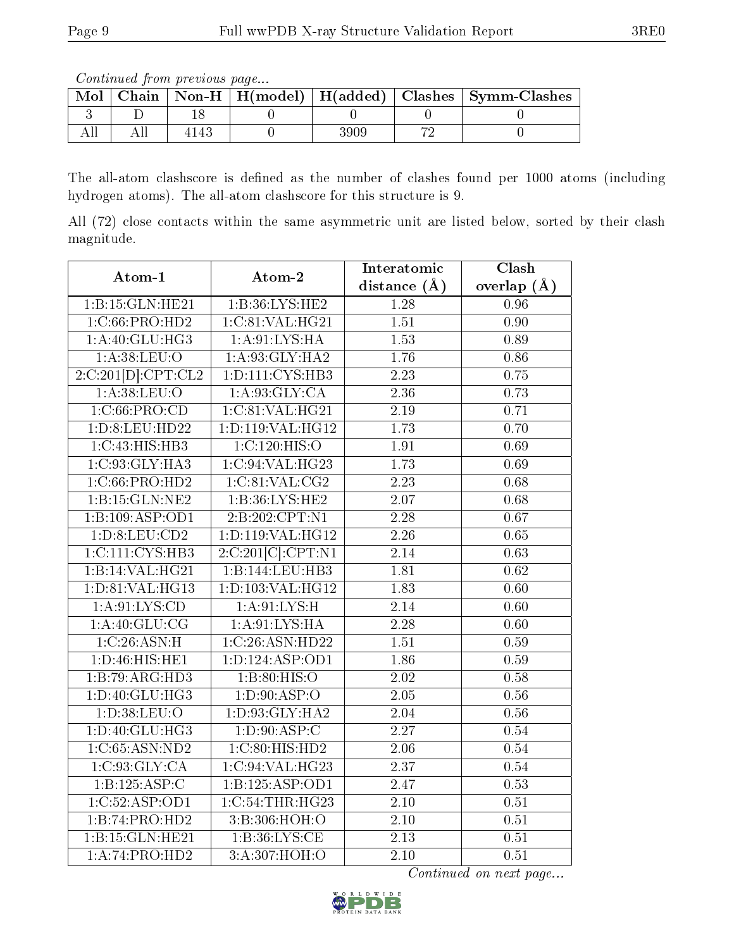Continued from previous page...

| Mol |  |  | Chain   Non-H   H(model)   H(added)   Clashes   Symm-Clashes |
|-----|--|--|--------------------------------------------------------------|
|     |  |  |                                                              |
|     |  |  |                                                              |

The all-atom clashscore is defined as the number of clashes found per 1000 atoms (including hydrogen atoms). The all-atom clashscore for this structure is 9.

All (72) close contacts within the same asymmetric unit are listed below, sorted by their clash magnitude.

| Atom-1              | Atom-2              | Interatomic       | Clash             |
|---------------------|---------------------|-------------------|-------------------|
|                     |                     | distance $(A)$    | overlap $(\AA)$   |
| 1:B:15:GLN:HE21     | 1: B:36: LYS: HE2   | 1.28              | 0.96              |
| 1:C:66:PRO:HD2      | 1:C:81:VAL:HG21     | $\overline{1.51}$ | $\overline{0.90}$ |
| 1: A:40: GLU:HG3    | 1: A:91: LYS: HA    | $\overline{1.53}$ | 0.89              |
| 1: A:38: LEU:O      | 1: A:93: GLY: HA2   | 1.76              | 0.86              |
| 2:C:201[D]:CPT:CL2  | 1: D: 111: CYS: HB3 | 2.23              | 0.75              |
| 1: A:38:LEU:O       | 1: A:93: GLY: CA    | 2.36              | 0.73              |
| 1:C:66:PRO:CD       | 1:C:81:VAL:HG21     | $\overline{2.19}$ | 0.71              |
| 1: D:8: LEU: HD22   | 1:D:119:VAL:HG12    | $\overline{1.73}$ | 0.70              |
| 1:C:43:HIS:HB3      | 1:C:120:HIS:O       | 1.91              | 0.69              |
| 1:C:93:GLY:HA3      | 1:C:94:VAL:HG23     | 1.73              | 0.69              |
| 1:C:66:PRO:HD2      | 1:C:81:VAL:CG2      | 2.23              | 0.68              |
| 1: B: 15: GLN: NE2  | 1:B:36:LYS:HE2      | $\overline{2.07}$ | 0.68              |
| 1:B:109:ASP:OD1     | 2:B:202:CPT:N1      | $\overline{2.28}$ | 0.67              |
| 1: D: 8: LEU: CD2   | 1:D:119:VAL:HG12    | 2.26              | 0.65              |
| 1:C:111:CYS:HB3     | 2:C:201[C]:CPT:N1   | 2.14              | 0.63              |
| 1:B:14:VAL:HG21     | 1:B:144:LEU:HB3     | 1.81              | $\overline{0.62}$ |
| 1: D: 81: VAL: HG13 | 1:D:103:VAL:HG12    | $\overline{1.83}$ | 0.60              |
| 1: A:91:LYS:CD      | 1: A:91:LYS:H       | 2.14              | 0.60              |
| 1:A:40:GLU:CG       | 1: A:91: LYS: HA    | 2.28              | 0.60              |
| 1:C:26:ASN:H        | 1:C:26:ASN:HD22     | $\overline{1.51}$ | 0.59              |
| 1: D: 46: HIS: HE1  | 1: D: 124: ASP: OD1 | 1.86              | 0.59              |
| 1:B:79:ARG:HD3      | 1: B:80: HIS:O      | $\overline{2.02}$ | 0.58              |
| 1:D:40:GLU:HG3      | 1: D:90: ASP:O      | 2.05              | $0.56\,$          |
| 1: D:38: LEU:O      | 1:D:93:GLY:HA2      | 2.04              | 0.56              |
| 1: D:40: GLU: HG3   | 1: D: 90: ASP:C     | $\overline{2.27}$ | 0.54              |
| 1:C:65:ASN:ND2      | 1:C:80:HIS:HD2      | 2.06              | 0.54              |
| 1:C:93:GLY:CA       | 1:C:94:VAL:HG23     | $\overline{2.37}$ | 0.54              |
| 1:B:125:ASP:C       | 1:B:125:ASP:OD1     | 2.47              | 0.53              |
| 1:C:52:ASP:OD1      | 1:C:54:THR:HG23     | 2.10              | $\overline{0.51}$ |
| 1:B:74:PRO:HD2      | 3:B:306:HOH:O       | 2.10              | 0.51              |
| 1:B:15:GLN:HE21     | 1: B:36: LYS: CE    | $\overline{2.13}$ | 0.51              |
| 1:A:74:PRO:HD2      | 3:A:307:HOH:O       | 2.10              | 0.51              |

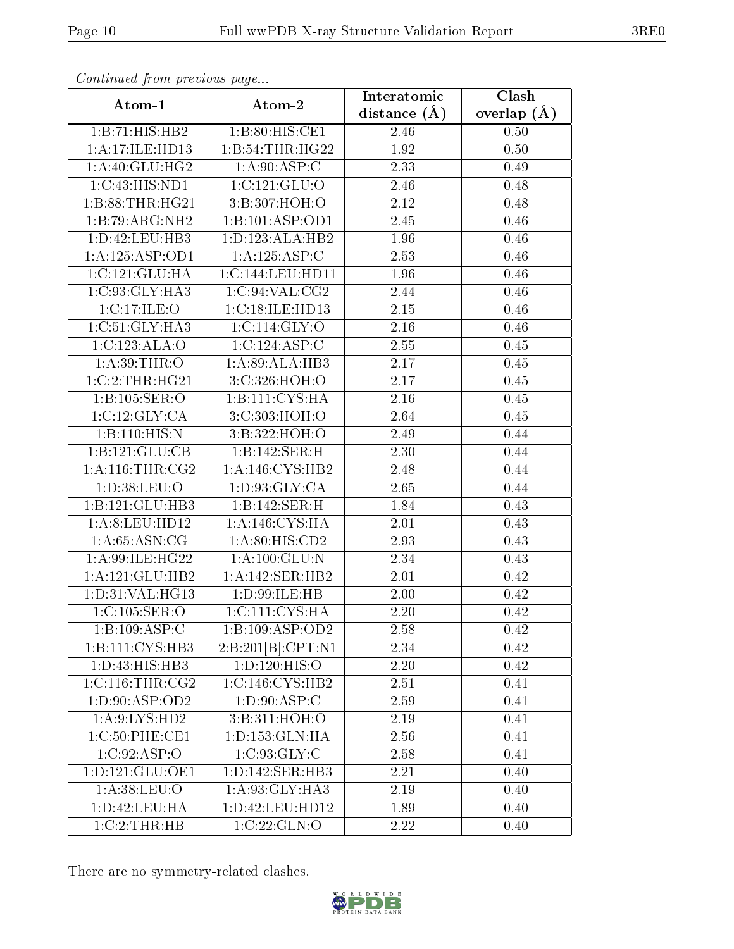|                     |                     | Interatomic    | Clash         |
|---------------------|---------------------|----------------|---------------|
| Atom-1              | Atom-2              | distance $(A)$ | overlap $(A)$ |
| 1:B:71:HIS:HB2      | 1:B:80:HIS:CE1      | 2.46           | 0.50          |
| 1: A:17: ILE: HD13  | 1:B:54:THR:HG22     | 1.92           | 0.50          |
| 1:A:40:GLU:HG2      | 1: A:90: ASP:C      | 2.33           | 0.49          |
| 1:C:43:HIS:ND1      | 1:C:121:GLU:O       | 2.46           | 0.48          |
| 1:B:88:THR:HG21     | 3:B:307:HOH:O       | 2.12           | 0.48          |
| 1:B:79:ARG:NH2      | 1:B:101:ASP:OD1     | 2.45           | 0.46          |
| 1: D: 42: LEU: HB3  | 1:D:123:ALA:HB2     | 1.96           | 0.46          |
| 1: A: 125: ASP: OD1 | 1:A:125:ASP:C       | 2.53           | 0.46          |
| 1:C:121:GLU:HA      | 1:C:144:LEU:HD11    | 1.96           | 0.46          |
| 1:C:93:GLY:HA3      | 1:C:94:VAL:CG2      | 2.44           | 0.46          |
| 1:C:17:ILE:O        | 1:C:18:ILE:HD13     | 2.15           | 0.46          |
| 1:C:51:GLY:HA3      | 1:C:114:GLY:O       | 2.16           | 0.46          |
| 1:C:123:ALA:O       | 1:C:124:ASP:C       | 2.55           | 0.45          |
| 1: A:39:THR:O       | 1:A:89:ALA:HB3      | 2.17           | 0.45          |
| 1:C:2:THR:HG21      | 3:C:326:HOH:O       | 2.17           | 0.45          |
| 1:B:105:SER:O       | 1:B:111:CYS:HA      | 2.16           | 0.45          |
| 1:C:12:GLY:CA       | 3:C:303:HOH:O       | 2.64           | 0.45          |
| 1:B:110:HIS:N       | 3:B:322:HOH:O       | 2.49           | 0.44          |
| 1:B:121:GLU:CB      | 1:B:142:SER:H       | 2.30           | 0.44          |
| 1: A:116:THR:CG2    | 1:A:146:CYS:HB2     | 2.48           | 0.44          |
| 1: D:38: LEU:O      | 1: D: 93: GLY: CA   | 2.65           | 0.44          |
| 1:B:121:GLU:HB3     | 1:B:142:SER:H       | 1.84           | 0.43          |
| 1: A:8: LEU: HD12   | 1:A:146:CYS:HA      | 2.01           | 0.43          |
| 1: A:65: ASN:CG     | 1:A:80:HIS:CD2      | 2.93           | 0.43          |
| 1: A:99: ILE: HG22  | 1: A: 100: GLU:N    | 2.34           | 0.43          |
| 1:A:121:GLU:HB2     | 1:A:142:SER:HB2     | 2.01           | 0.42          |
| 1: D:31: VAL:HG13   | 1:D:99:ILE:HB       | $2.00\,$       | 0.42          |
| 1:C:105:SER:O       | 1:C:111:CYS:HA      | 2.20           | 0.42          |
| 1:B:109:ASP:C       | 1:B:109:ASP:OD2     | 2.58           | 0.42          |
| 1:B:111:CYS:HB3     | 2:B:201[B]:CPT:N1   | 2.34           | 0.42          |
| 1: D: 43: HIS: HB3  | 1: D: 120: HIS: O   | 2.20           | 0.42          |
| 1:C:116:THR:CG2     | 1:C:146:CYS:HB2     | 2.51           | 0.41          |
| 1: D:90: ASP:OD2    | 1: D:90: ASP:C      | 2.59           | 0.41          |
| 1: A:9: LYS: HD2    | 3:B:311:HOH:O       | 2.19           | 0.41          |
| 1:C:50:PHE:CE1      | 1:D:153:GLN:HA      | 2.56           | 0.41          |
| 1:C:92:ASP:O        | 1:C:93:GLY:C        | 2.58           | 0.41          |
| 1: D: 121: GLU: OE1 | 1: D: 142: SER: HB3 | 2.21           | 0.40          |
| 1: A:38:LEU:O       | 1:A:93:GLY:HA3      | 2.19           | 0.40          |
| 1: D: 42: LEU: HA   | 1: D: 42: LEU: HD12 | 1.89           | 0.40          |
| 1:C:2:THR:HB        | 1:C:22:GLN:O        | 2.22           | 0.40          |

Continued from previous page...

There are no symmetry-related clashes.

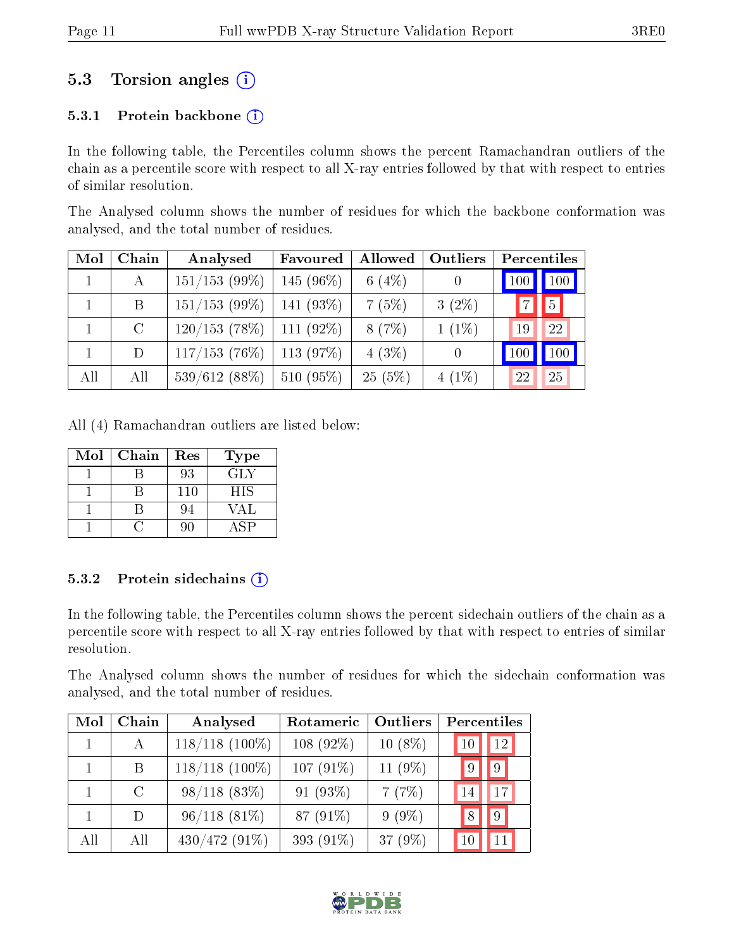## 5.3 Torsion angles  $(i)$

#### 5.3.1 Protein backbone  $(i)$

In the following table, the Percentiles column shows the percent Ramachandran outliers of the chain as a percentile score with respect to all X-ray entries followed by that with respect to entries of similar resolution.

The Analysed column shows the number of residues for which the backbone conformation was analysed, and the total number of residues.

| Mol | Chain   | Analysed         | Favoured    | Allowed  | Outliers |                 | Percentiles |
|-----|---------|------------------|-------------|----------|----------|-----------------|-------------|
|     | А       | $151/153$ (99%)  | $145(96\%)$ | 6 $(4%)$ |          | 100             | 100         |
|     | B       | $151/153$ (99%)  | $141(93\%)$ | 7(5%)    | $3(2\%)$ | $\overline{7}$  | 5           |
|     | $\rm C$ | 120/153(78%)     | $111(92\%)$ | 8(7%)    | $1(1\%)$ | 19              | 22          |
|     | D       | $117/153$ (76\%) | $113(97\%)$ | $4(3\%)$ | $\theta$ | 10 <sub>C</sub> | 100         |
| All | All     | $539/612(88\%)$  | $510(95\%)$ | 25(5%)   | $4(1\%)$ | 22              | 25          |

All (4) Ramachandran outliers are listed below:

| Mol | Chain | Res | <b>Type</b> |
|-----|-------|-----|-------------|
|     |       | 93  | GLY         |
|     |       | 110 | <b>HIS</b>  |
|     |       | 94  | VAL         |
|     |       | 90  |             |

#### 5.3.2 Protein sidechains  $(i)$

In the following table, the Percentiles column shows the percent sidechain outliers of the chain as a percentile score with respect to all X-ray entries followed by that with respect to entries of similar resolution.

The Analysed column shows the number of residues for which the sidechain conformation was analysed, and the total number of residues.

| Mol | Chain         | Analysed         | Rotameric   | Outliers   | Percentiles |
|-----|---------------|------------------|-------------|------------|-------------|
|     | $\mathsf{A}$  | $118/118$ (100%) | $108(92\%)$ | $10(8\%)$  | 12<br>10    |
|     | B             | $118/118$ (100%) | 107 (91%)   | 11 (9%)    | 9           |
|     | $\mathcal{C}$ | $98/118(83\%)$   | 91 $(93\%)$ | 7(7%)      | 17<br>14    |
|     | D             | $96/118(81\%)$   | 87 (91%)    | $9(9\%)$   | 9           |
| All | -A II         | 430/472 (91%)    | 393 (91%)   | 37 $(9\%)$ |             |

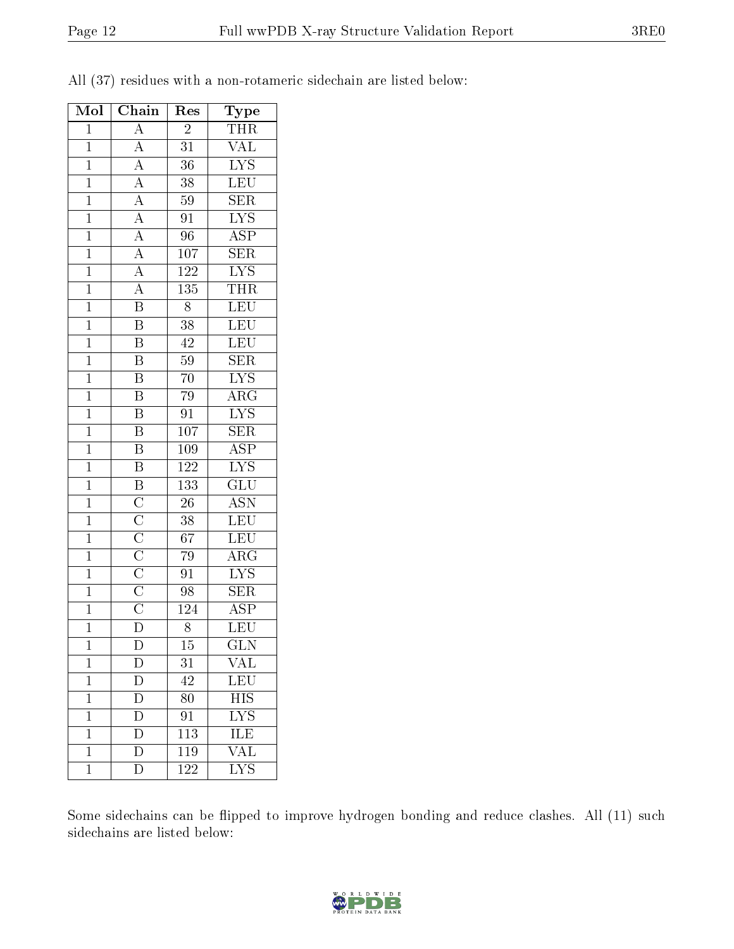| Mol            | Chain                                                                                                                                                     | $\operatorname{Res}% \left\vert \mathcal{H}\right\vert =\operatorname*{Res}_{\left\vert \mathcal{H}\right\vert }% \left\vert \mathcal{H}% \right\vert =\operatorname*{Res}_{\left\vert \mathcal{H}\right\vert }% \left\vert \mathcal{H}% \right\vert =\operatorname*{R}\left( \left\vert \mathcal{H}% \right\vert \right)$ | Type                    |
|----------------|-----------------------------------------------------------------------------------------------------------------------------------------------------------|----------------------------------------------------------------------------------------------------------------------------------------------------------------------------------------------------------------------------------------------------------------------------------------------------------------------------|-------------------------|
| $\overline{1}$ | $\overline{A}$                                                                                                                                            | $\overline{2}$                                                                                                                                                                                                                                                                                                             | <b>THR</b>              |
| $\overline{1}$ | $\overline{A}$                                                                                                                                            | $\overline{31}$                                                                                                                                                                                                                                                                                                            | $\sqrt{\text{AL}}$      |
| $\overline{1}$ |                                                                                                                                                           | $\overline{36}$                                                                                                                                                                                                                                                                                                            | $\overline{\text{LYS}}$ |
| $\mathbf{1}$   |                                                                                                                                                           | 38                                                                                                                                                                                                                                                                                                                         | $\overline{\text{LEU}}$ |
| $\overline{1}$ |                                                                                                                                                           | $\overline{59}$                                                                                                                                                                                                                                                                                                            | $\overline{\text{SER}}$ |
| $\overline{1}$ | $\frac{\overline{A}}{\overline{A}}$ $\frac{\overline{A}}{\overline{A}}$ $\frac{\overline{A}}{\overline{A}}$ $\frac{\overline{A}}{\overline{A}}$           | $\overline{91}$                                                                                                                                                                                                                                                                                                            | $\overline{\text{LYS}}$ |
| $\overline{1}$ |                                                                                                                                                           | $\overline{96}$                                                                                                                                                                                                                                                                                                            | $\overline{\text{ASP}}$ |
| $\overline{1}$ |                                                                                                                                                           | $\overline{107}$                                                                                                                                                                                                                                                                                                           | $\overline{\text{SER}}$ |
| $\overline{1}$ |                                                                                                                                                           | $\overline{122}$                                                                                                                                                                                                                                                                                                           | $\overline{\text{LYS}}$ |
| $\overline{1}$ | $\overline{A}$                                                                                                                                            | $\overline{135}$                                                                                                                                                                                                                                                                                                           | <b>THR</b>              |
| $\overline{1}$ | $\overline{\mathbf{B}}$                                                                                                                                   | $\overline{8}$                                                                                                                                                                                                                                                                                                             | $\overline{\text{LEU}}$ |
| $\overline{1}$ | $\overline{\mathrm{B}}$                                                                                                                                   | 38                                                                                                                                                                                                                                                                                                                         | $\overline{\text{LEU}}$ |
| $\overline{1}$ | $\overline{\mathbf{B}}$                                                                                                                                   | 42                                                                                                                                                                                                                                                                                                                         | LEU                     |
| $\mathbf{1}$   | $\overline{B}$                                                                                                                                            | $59\,$                                                                                                                                                                                                                                                                                                                     | SER                     |
| $\overline{1}$ | $\overline{\mathrm{B}}$                                                                                                                                   | $\overline{70}$                                                                                                                                                                                                                                                                                                            | $\overline{\text{LYS}}$ |
| $\overline{1}$ | $\overline{\mathrm{B}}$                                                                                                                                   | 79                                                                                                                                                                                                                                                                                                                         | $\overline{\text{ARG}}$ |
| $\mathbf{1}$   | $\overline{\mathrm{B}}$                                                                                                                                   | $\overline{91}$                                                                                                                                                                                                                                                                                                            | $\overline{\text{LYS}}$ |
| $\overline{1}$ | $\overline{\mathbf{B}}$                                                                                                                                   | $\overline{107}$                                                                                                                                                                                                                                                                                                           | $\overline{\text{SER}}$ |
| $\mathbf{1}$   | $\overline{B}$                                                                                                                                            | 109                                                                                                                                                                                                                                                                                                                        | $\overline{\text{ASP}}$ |
| $\overline{1}$ | $\overline{\mathrm{B}}$                                                                                                                                   | $\overline{122}$                                                                                                                                                                                                                                                                                                           | $\overline{\text{LYS}}$ |
| $\overline{1}$ | $\overline{B}$                                                                                                                                            | 133                                                                                                                                                                                                                                                                                                                        | $\overline{\text{GLU}}$ |
| $\overline{1}$ |                                                                                                                                                           | $\overline{26}$                                                                                                                                                                                                                                                                                                            | $\overline{\text{ASN}}$ |
| $\mathbf{1}$   |                                                                                                                                                           | 38                                                                                                                                                                                                                                                                                                                         | $\overline{\text{LEU}}$ |
| $\mathbf{1}$   |                                                                                                                                                           | 67                                                                                                                                                                                                                                                                                                                         | $\overline{\text{LEU}}$ |
| $\overline{1}$ |                                                                                                                                                           | 79                                                                                                                                                                                                                                                                                                                         | $\overline{\rm{ARG}}$   |
| $\overline{1}$ | $\overline{\text{C}}$ $\overline{\text{C}}$ $\overline{\text{C}}$ $\overline{\text{C}}$ $\overline{\text{C}}$ $\overline{\text{C}}$ $\overline{\text{C}}$ | $\overline{91}$                                                                                                                                                                                                                                                                                                            | $\overline{\text{LYS}}$ |
| $\overline{1}$ |                                                                                                                                                           | 98                                                                                                                                                                                                                                                                                                                         | $\overline{\text{SER}}$ |
| $\overline{1}$ |                                                                                                                                                           | 124                                                                                                                                                                                                                                                                                                                        | $\overline{\text{ASP}}$ |
| $\mathbf 1$    | $\overline{\rm D}$                                                                                                                                        | 8                                                                                                                                                                                                                                                                                                                          | $\overline{\text{LEU}}$ |
| $\mathbf 1$    | D                                                                                                                                                         | 15                                                                                                                                                                                                                                                                                                                         | GLN                     |
| $\mathbf 1$    | D                                                                                                                                                         | 31                                                                                                                                                                                                                                                                                                                         | $\rm V\overline{AL}$    |
| $\mathbf 1$    | $\overline{\rm D}$                                                                                                                                        | 42                                                                                                                                                                                                                                                                                                                         | $\overline{\text{LEU}}$ |
| $\mathbf{1}$   | $\overline{D}$                                                                                                                                            | 80                                                                                                                                                                                                                                                                                                                         | $\overline{HIS}$        |
| $\mathbf{1}$   | $\overline{\rm D}$                                                                                                                                        | 91                                                                                                                                                                                                                                                                                                                         | $\overline{\text{LYS}}$ |
| $\mathbf 1$    | $\overline{\rm D}$                                                                                                                                        | $\overline{113}$                                                                                                                                                                                                                                                                                                           | ILE                     |
| $\mathbf{1}$   | D                                                                                                                                                         | 119                                                                                                                                                                                                                                                                                                                        | $\overline{\text{VAL}}$ |
| $\overline{1}$ | $\overline{\rm D}$                                                                                                                                        | $\overline{122}$                                                                                                                                                                                                                                                                                                           | $\overline{\text{LYS}}$ |

All (37) residues with a non-rotameric sidechain are listed below:

Some sidechains can be flipped to improve hydrogen bonding and reduce clashes. All (11) such sidechains are listed below:

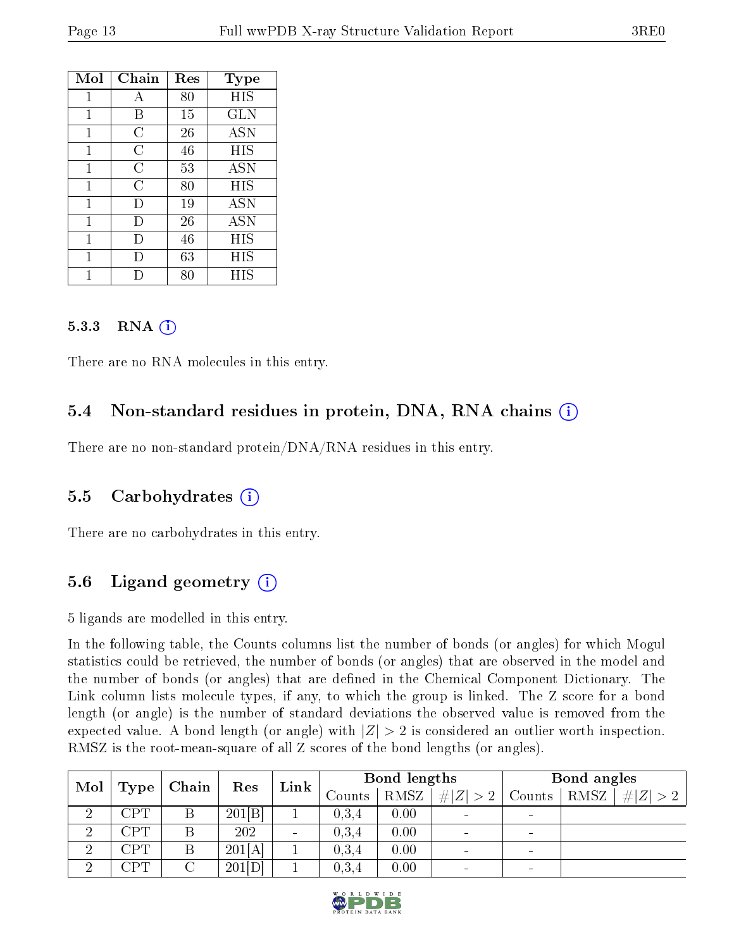| Mol | Chain            | Res    | Type       |
|-----|------------------|--------|------------|
| 1   | $\boldsymbol{A}$ | $80\,$ | HIS        |
| 1   | Β                | 15     | GLN        |
| 1   | С                | 26     | <b>ASN</b> |
| 1   | C                | 46     | HIS        |
| 1   | C                | 53     | <b>ASN</b> |
| 1   | C                | 80     | HIS        |
| 1   | $\vert$ )        | 19     | <b>ASN</b> |
| 1   | $\Box$           | 26     | <b>ASN</b> |
| 1   | Ð                | 46     | HIS        |
| 1   | Ð                | 63     | HIS        |
|     |                  | 80     | HIS        |

#### 5.3.3 RNA (1)

There are no RNA molecules in this entry.

### 5.4 Non-standard residues in protein, DNA, RNA chains (i)

There are no non-standard protein/DNA/RNA residues in this entry.

#### 5.5 Carbohydrates (i)

There are no carbohydrates in this entry.

### 5.6 Ligand geometry (i)

5 ligands are modelled in this entry.

In the following table, the Counts columns list the number of bonds (or angles) for which Mogul statistics could be retrieved, the number of bonds (or angles) that are observed in the model and the number of bonds (or angles) that are dened in the Chemical Component Dictionary. The Link column lists molecule types, if any, to which the group is linked. The Z score for a bond length (or angle) is the number of standard deviations the observed value is removed from the expected value. A bond length (or angle) with  $|Z| > 2$  is considered an outlier worth inspection. RMSZ is the root-mean-square of all Z scores of the bond lengths (or angles).

| $\blacksquare$ Mol $\mid$ Type $\perp$ |     | Chain | Res    | Link                     | Bond lengths |      |                          | Bond angles              |                 |             |
|----------------------------------------|-----|-------|--------|--------------------------|--------------|------|--------------------------|--------------------------|-----------------|-------------|
|                                        |     |       |        |                          | Counts       | RMSZ | # $ Z  > 2$              | Counts                   | $\mathsf{RMSZ}$ | # $ Z  > 2$ |
| ച<br>↩                                 | CPT |       | 201 B  |                          | 0,3,4        | 0.00 | $\sim$                   |                          |                 |             |
| $\overline{2}$                         | CPT |       | 202    | $\overline{\phantom{a}}$ | 0,3,4        | 0.00 | $\overline{\phantom{0}}$ |                          |                 |             |
| $\overline{2}$                         | CPT | Β     | 201[A] |                          | 0,3,4        | 0.00 | $\sim$                   | $\overline{\phantom{0}}$ |                 |             |
| ച                                      | CPT |       | 201[D] |                          | 0,3,4        | 0.00 |                          |                          |                 |             |

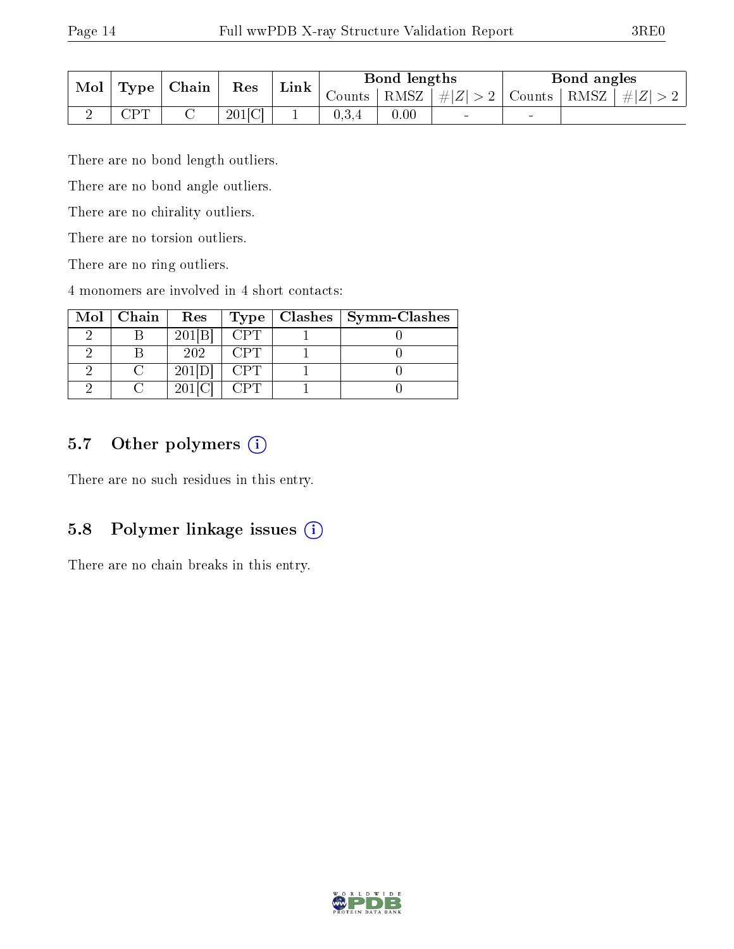| Mol | $\top$ Type $\top$ | Chain | Res       | Link | Bond lengths        |        |                                         | Bond angles              |                 |  |
|-----|--------------------|-------|-----------|------|---------------------|--------|-----------------------------------------|--------------------------|-----------------|--|
|     |                    |       |           |      | Counts <sup>+</sup> | ' RMSZ | $\vert \#  Z  > 2 \vert$ Counts $\vert$ |                          | RMSZ<br>$\# Z $ |  |
| ↵   | $\cap$ d $\Gamma$  |       | $201$ [C] |      | 0,3,4               | 0.00   | $\blacksquare$                          | $\overline{\phantom{0}}$ |                 |  |

There are no bond length outliers.

There are no bond angle outliers.

There are no chirality outliers.

There are no torsion outliers.

There are no ring outliers.

4 monomers are involved in 4 short contacts:

| Mol | Chain | Res    | Type       | Clashes   Symm-Clashes |
|-----|-------|--------|------------|------------------------|
|     |       | 201[B] | CPT        |                        |
|     |       | 202    | ( 'P'I'    |                        |
|     |       | 201[D] | <b>CPT</b> |                        |
|     |       | 201[C  |            |                        |

## 5.7 [O](https://www.wwpdb.org/validation/2017/XrayValidationReportHelp#nonstandard_residues_and_ligands)ther polymers (i)

There are no such residues in this entry.

### 5.8 Polymer linkage issues (i)

There are no chain breaks in this entry.

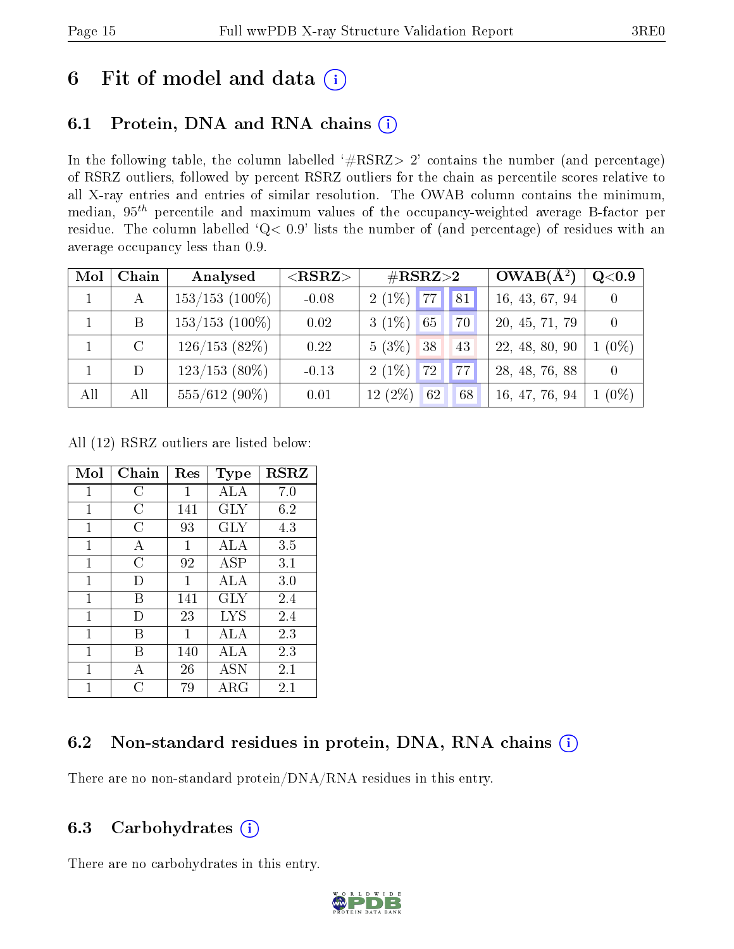# 6 Fit of model and data  $(i)$

# 6.1 Protein, DNA and RNA chains  $(i)$

In the following table, the column labelled  $#RSRZ> 2'$  contains the number (and percentage) of RSRZ outliers, followed by percent RSRZ outliers for the chain as percentile scores relative to all X-ray entries and entries of similar resolution. The OWAB column contains the minimum, median,  $95<sup>th</sup>$  percentile and maximum values of the occupancy-weighted average B-factor per residue. The column labelled ' $Q< 0.9$ ' lists the number of (and percentage) of residues with an average occupancy less than 0.9.

| Mol          | Chain         | Analysed          | $<$ RSRZ $>$ | $\rm \#RSRZ{>}2$                | $OWAB(A^2)$    | Q <sub>0.9</sub> |
|--------------|---------------|-------------------|--------------|---------------------------------|----------------|------------------|
| $\mathbf{1}$ |               | $153/153$ (100\%) | $-0.08$      | $2(1\%)$ 77 81                  | 16, 43, 67, 94 |                  |
|              | B             | $153/153$ (100\%) | 0.02         | $3(1\%)$<br>65<br>70            | 20, 45, 71, 79 |                  |
|              | $\mathcal{C}$ | $126/153(82\%)$   | 0.22         | $5(3\%)$ 38<br>43               | 22, 48, 80, 90 | $1\ (0\%)$       |
|              | D             | $123/153$ (80\%)  | $-0.13$      | $2(1\%)$<br>77<br>$\sqrt{72}$ / | 28, 48, 76, 88 |                  |
| All          | All           | $555/612(90\%)$   | 0.01         | $12(2\%)$<br>62<br>68           | 16, 47, 76, 94 | $1(0\%)$         |

All (12) RSRZ outliers are listed below:

| Mol | $Chain$   | Res | <b>Type</b> | <b>RSRZ</b> |
|-----|-----------|-----|-------------|-------------|
| 1   | C         | 1   | ALA         | 7.0         |
| 1   | C         | 141 | GLY         | 6.2         |
| 1   | C         | 93  | GLY         | 4.3         |
| 1   | А         | 1   | ALA         | 3.5         |
| 1   | C         | 92  | <b>ASP</b>  | 3.1         |
| 1   | D         | 1   | ALA         | 3.0         |
| 1   | В         | 141 | GLY         | 2.4         |
| 1   | $\vert$ ) | 23  | <b>LYS</b>  | 2.4         |
| 1   | В         | 1   | ALA         | 2.3         |
| 1   | В         | 140 | ALA         | 2.3         |
| 1   | A         | 26  | <b>ASN</b>  | 2.1         |
| 1   | C         | 79  | ${\rm ARG}$ | 2.1         |

### 6.2 Non-standard residues in protein, DNA, RNA chains  $(i)$

There are no non-standard protein/DNA/RNA residues in this entry.

#### 6.3 Carbohydrates  $(i)$

There are no carbohydrates in this entry.